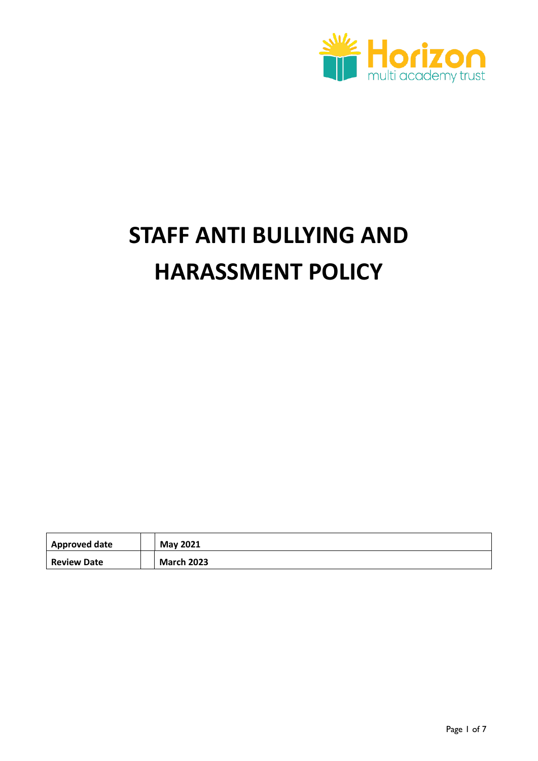

# **STAFF ANTI BULLYING AND HARASSMENT POLICY**

| Approved date      | May 2021          |
|--------------------|-------------------|
| <b>Review Date</b> | <b>March 2023</b> |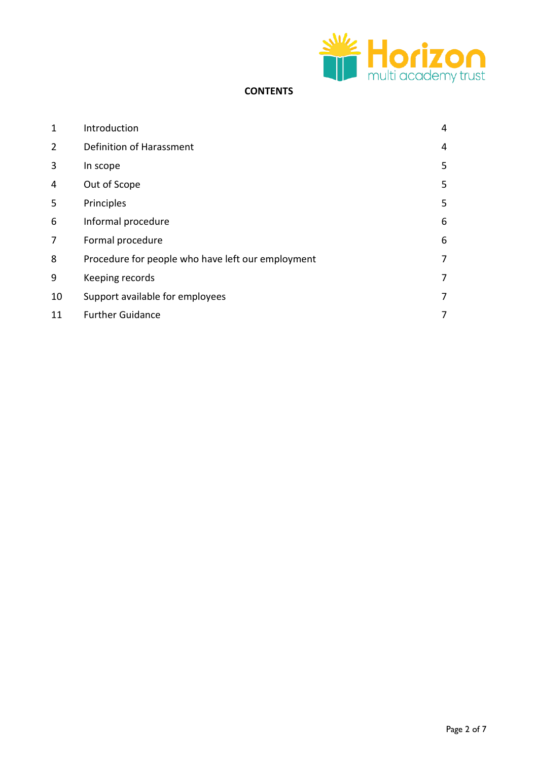

#### **CONTENTS**

| 1              | Introduction                                      | 4 |
|----------------|---------------------------------------------------|---|
| $\overline{2}$ | Definition of Harassment                          | 4 |
| 3              | In scope                                          | 5 |
| 4              | Out of Scope                                      | 5 |
| 5              | Principles                                        | 5 |
| 6              | Informal procedure                                | 6 |
| 7              | Formal procedure                                  | 6 |
| 8              | Procedure for people who have left our employment | 7 |
| 9              | Keeping records                                   | 7 |
| 10             | Support available for employees                   | 7 |
| 11             | <b>Further Guidance</b>                           | 7 |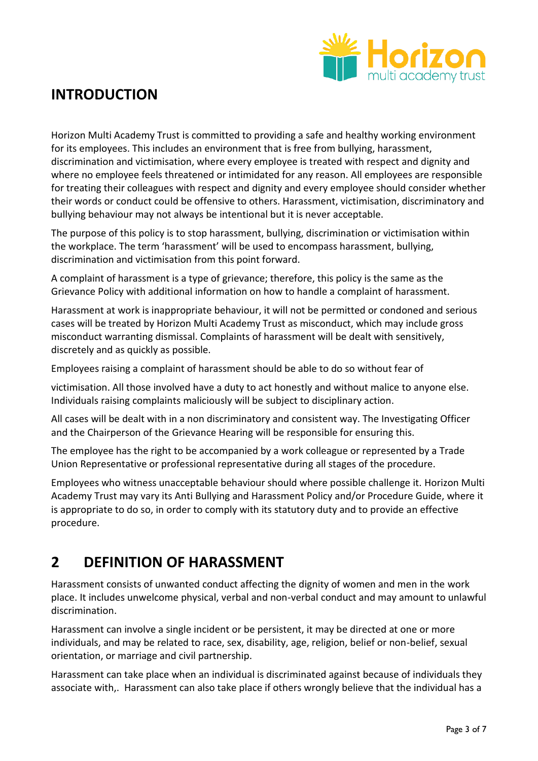

## **INTRODUCTION**

Horizon Multi Academy Trust is committed to providing a safe and healthy working environment for its employees. This includes an environment that is free from bullying, harassment, discrimination and victimisation, where every employee is treated with respect and dignity and where no employee feels threatened or intimidated for any reason. All employees are responsible for treating their colleagues with respect and dignity and every employee should consider whether their words or conduct could be offensive to others. Harassment, victimisation, discriminatory and bullying behaviour may not always be intentional but it is never acceptable.

The purpose of this policy is to stop harassment, bullying, discrimination or victimisation within the workplace. The term 'harassment' will be used to encompass harassment, bullying, discrimination and victimisation from this point forward.

A complaint of harassment is a type of grievance; therefore, this policy is the same as the Grievance Policy with additional information on how to handle a complaint of harassment.

Harassment at work is inappropriate behaviour, it will not be permitted or condoned and serious cases will be treated by Horizon Multi Academy Trust as misconduct, which may include gross misconduct warranting dismissal. Complaints of harassment will be dealt with sensitively, discretely and as quickly as possible.

Employees raising a complaint of harassment should be able to do so without fear of

victimisation. All those involved have a duty to act honestly and without malice to anyone else. Individuals raising complaints maliciously will be subject to disciplinary action.

All cases will be dealt with in a non discriminatory and consistent way. The Investigating Officer and the Chairperson of the Grievance Hearing will be responsible for ensuring this.

The employee has the right to be accompanied by a work colleague or represented by a Trade Union Representative or professional representative during all stages of the procedure.

Employees who witness unacceptable behaviour should where possible challenge it. Horizon Multi Academy Trust may vary its Anti Bullying and Harassment Policy and/or Procedure Guide, where it is appropriate to do so, in order to comply with its statutory duty and to provide an effective procedure.

# **2 DEFINITION OF HARASSMENT**

Harassment consists of unwanted conduct affecting the dignity of women and men in the work place. It includes unwelcome physical, verbal and non-verbal conduct and may amount to unlawful discrimination.

Harassment can involve a single incident or be persistent, it may be directed at one or more individuals, and may be related to race, sex, disability, age, religion, belief or non-belief, sexual orientation, or marriage and civil partnership.

Harassment can take place when an individual is discriminated against because of individuals they associate with,. Harassment can also take place if others wrongly believe that the individual has a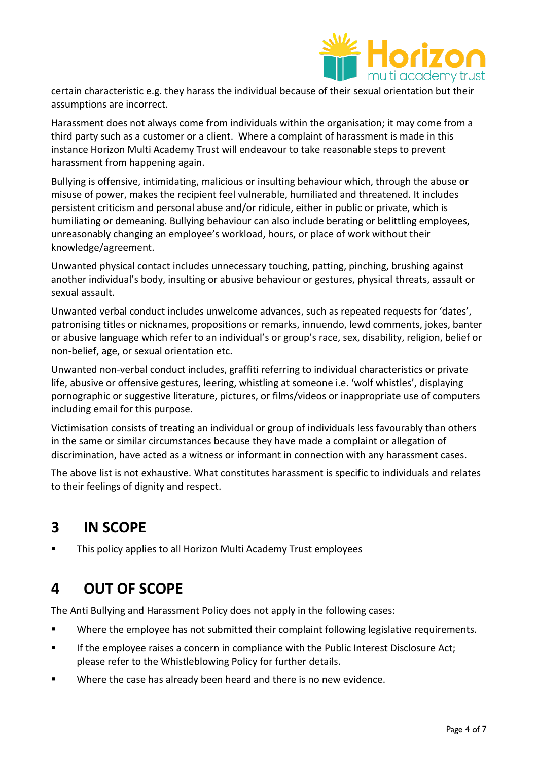

certain characteristic e.g. they harass the individual because of their sexual orientation but their assumptions are incorrect.

Harassment does not always come from individuals within the organisation; it may come from a third party such as a customer or a client. Where a complaint of harassment is made in this instance Horizon Multi Academy Trust will endeavour to take reasonable steps to prevent harassment from happening again.

Bullying is offensive, intimidating, malicious or insulting behaviour which, through the abuse or misuse of power, makes the recipient feel vulnerable, humiliated and threatened. It includes persistent criticism and personal abuse and/or ridicule, either in public or private, which is humiliating or demeaning. Bullying behaviour can also include berating or belittling employees, unreasonably changing an employee's workload, hours, or place of work without their knowledge/agreement.

Unwanted physical contact includes unnecessary touching, patting, pinching, brushing against another individual's body, insulting or abusive behaviour or gestures, physical threats, assault or sexual assault.

Unwanted verbal conduct includes unwelcome advances, such as repeated requests for 'dates', patronising titles or nicknames, propositions or remarks, innuendo, lewd comments, jokes, banter or abusive language which refer to an individual's or group's race, sex, disability, religion, belief or non-belief, age, or sexual orientation etc.

Unwanted non-verbal conduct includes, graffiti referring to individual characteristics or private life, abusive or offensive gestures, leering, whistling at someone i.e. 'wolf whistles', displaying pornographic or suggestive literature, pictures, or films/videos or inappropriate use of computers including email for this purpose.

Victimisation consists of treating an individual or group of individuals less favourably than others in the same or similar circumstances because they have made a complaint or allegation of discrimination, have acted as a witness or informant in connection with any harassment cases.

The above list is not exhaustive. What constitutes harassment is specific to individuals and relates to their feelings of dignity and respect.

# **3 IN SCOPE**

■ This policy applies to all Horizon Multi Academy Trust employees

# **4 OUT OF SCOPE**

The Anti Bullying and Harassment Policy does not apply in the following cases:

- Where the employee has not submitted their complaint following legislative requirements.
- If the employee raises a concern in compliance with the Public Interest Disclosure Act; please refer to the Whistleblowing Policy for further details.
- Where the case has already been heard and there is no new evidence.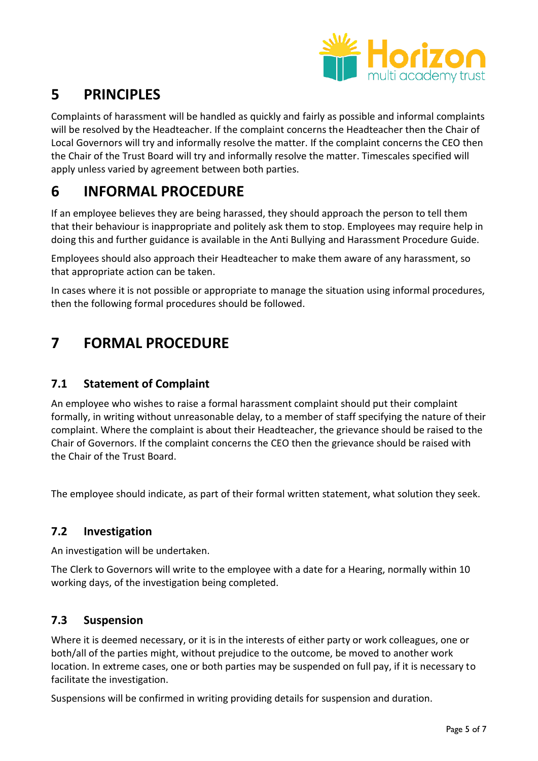

# **5 PRINCIPLES**

Complaints of harassment will be handled as quickly and fairly as possible and informal complaints will be resolved by the Headteacher. If the complaint concerns the Headteacher then the Chair of Local Governors will try and informally resolve the matter. If the complaint concerns the CEO then the Chair of the Trust Board will try and informally resolve the matter. Timescales specified will apply unless varied by agreement between both parties.

# **6 INFORMAL PROCEDURE**

If an employee believes they are being harassed, they should approach the person to tell them that their behaviour is inappropriate and politely ask them to stop. Employees may require help in doing this and further guidance is available in the Anti Bullying and Harassment Procedure Guide.

Employees should also approach their Headteacher to make them aware of any harassment, so that appropriate action can be taken.

In cases where it is not possible or appropriate to manage the situation using informal procedures, then the following formal procedures should be followed.

# **7 FORMAL PROCEDURE**

#### **7.1 Statement of Complaint**

An employee who wishes to raise a formal harassment complaint should put their complaint formally, in writing without unreasonable delay, to a member of staff specifying the nature of their complaint. Where the complaint is about their Headteacher, the grievance should be raised to the Chair of Governors. If the complaint concerns the CEO then the grievance should be raised with the Chair of the Trust Board.

The employee should indicate, as part of their formal written statement, what solution they seek.

#### **7.2 Investigation**

An investigation will be undertaken.

The Clerk to Governors will write to the employee with a date for a Hearing, normally within 10 working days, of the investigation being completed.

#### **7.3 Suspension**

Where it is deemed necessary, or it is in the interests of either party or work colleagues, one or both/all of the parties might, without prejudice to the outcome, be moved to another work location. In extreme cases, one or both parties may be suspended on full pay, if it is necessary to facilitate the investigation.

Suspensions will be confirmed in writing providing details for suspension and duration.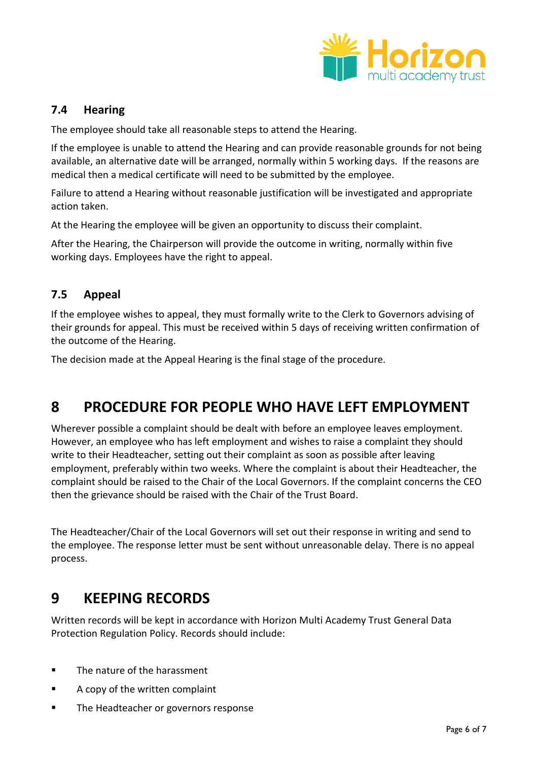

#### **7.4 Hearing**

The employee should take all reasonable steps to attend the Hearing.

If the employee is unable to attend the Hearing and can provide reasonable grounds for not being available, an alternative date will be arranged, normally within 5 working days. If the reasons are medical then a medical certificate will need to be submitted by the employee.

Failure to attend a Hearing without reasonable justification will be investigated and appropriate action taken.

At the Hearing the employee will be given an opportunity to discuss their complaint.

After the Hearing, the Chairperson will provide the outcome in writing, normally within five working days. Employees have the right to appeal.

#### **7.5 Appeal**

If the employee wishes to appeal, they must formally write to the Clerk to Governors advising of their grounds for appeal. This must be received within 5 days of receiving written confirmation of the outcome of the Hearing.

The decision made at the Appeal Hearing is the final stage of the procedure.

## **8 PROCEDURE FOR PEOPLE WHO HAVE LEFT EMPLOYMENT**

Wherever possible a complaint should be dealt with before an employee leaves employment. However, an employee who has left employment and wishes to raise a complaint they should write to their Headteacher, setting out their complaint as soon as possible after leaving employment, preferably within two weeks. Where the complaint is about their Headteacher, the complaint should be raised to the Chair of the Local Governors. If the complaint concerns the CEO then the grievance should be raised with the Chair of the Trust Board.

The Headteacher/Chair of the Local Governors will set out their response in writing and send to the employee. The response letter must be sent without unreasonable delay. There is no appeal process.

### **9 KEEPING RECORDS**

Written records will be kept in accordance with Horizon Multi Academy Trust General Data Protection Regulation Policy. Records should include:

- **The nature of the harassment**
- A copy of the written complaint
- **The Headteacher or governors response**